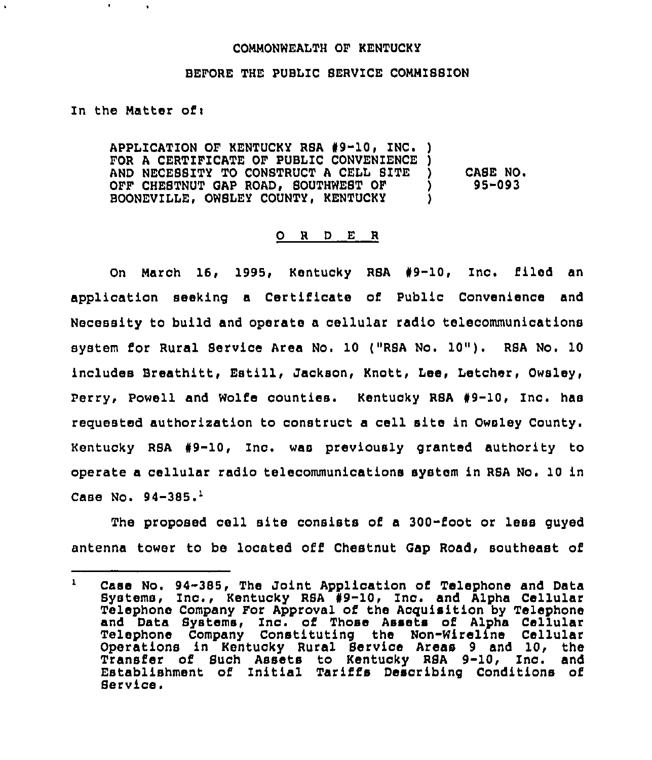## COMMONWEALTH OF KENTUCKY

## BEFORE THE PUBLIC SERVICE COMMISSION

## In the Natter ofi

 $\blacksquare$ 

APPLICATION OF KENTUCKY RSA #9-10, INC. ) FOR A CERTIFICATE OF PUBLIC CONVENIENCE )<br>AND NECESSITY TO CONSTRUCT A CELL SITE ) AND NECESSITY TO CONSTRUCT A CELL SITE OFF CHESTNUT GAP ROAD, SOUTHWEST OF )<br>BOONEVILLE, OWSLEY COUNTY, KENTUCKY ) BOONEVILLE, OWSLEY COUNTY, KENTUCKY CASE NO. 95-093

## 0 <sup>R</sup> <sup>D</sup> E <sup>R</sup>

On March 16, 1995, Kentucky RSA #9-10, Inc. filed an application seeking a Certificate of Public Convenience and Necessity to build and operate a cellular radio telecommunications system for Rur<mark>al Service Area No. 10 ("RSA No. 10"). RSA No. 10</mark> includes Breathitt, Estill, Jackson, Knott, Lee, Letcher, Owsley, Perry, Powell and Wolfe counties. Kentucky RSA #9-10, Inc. has requested authorization to construct a cell site in Owsley County. Kentucky RSA 99-10, Inc. was previously granted authority to operate a cellular radio telecommunications system in RSA No. 10 in Case No.  $94-385.$ <sup>1</sup>

The proposed cell site consists of a 300-foot or less guyed antenna tower to be located off Chestnut Gap Road, southeast of

 $\mathbf{1}$ Case No. 94-385, The Joint Application of Telephone and Data Systems, Inc., Kentucky RSA #9-10, Inc. and Alpha Cellular Telephone Company For Approval of the Acquisition by Telephone and Data Systems, Inc. of Those Assets of Alpha Cellula Telephone Company Constituting the Non-Wireline Cellular Operations in Kentucky Rural Service Areas 9 and 10, the Transfer of Such Assets to Kentucky RSA 9-10, Inc. and Establishment of Initial Tariffs Describing Conditions of Service.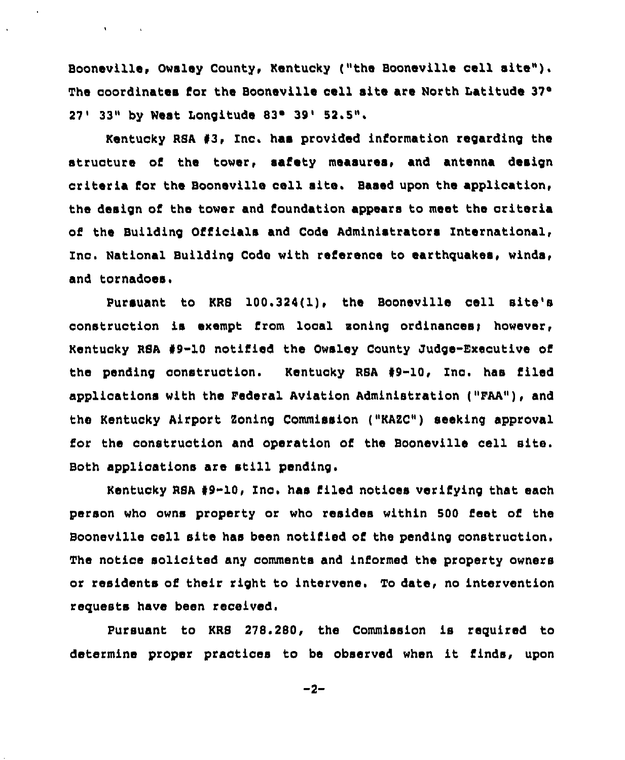Booneville, Owsley County, Kentucky ("the Booneville cell site"). The coordinates for the Booneville cell site are North Latitude 37° 27' 33" by West Longitude 83° 39' 52.5".

 $\mathbf{v} = \mathbf{v} \times \mathbf{v}$  . The  $\mathbf{v}$ 

Kentucky RSA 93, Inc. haa provided information regarding the structure of the tower, safety measures, and antenna design criteria for the Booneville oell site. Based upon the application, the design of the tower and foundation appears to meet the criteria of the Building Officials and Code Administrators International, Ino. National Building Code with reference to earthquakes, winds, and tornadoes.

Pursuant to KRS 100,324(1), the Booneville cell site's construction is exempt from local soning ordinances) however, Kentucky R8A 99-10 notified the Owsley County Judge-Executive of the pending construction. Kentucky RSA #9-10, Inc. has filed applications with the Pederal Aviation Administration ("PAA"), and the Kentucky Airport Koning Commission ("KARC") seeking approval for the construction and operation of the Booneville cell site. Both applications are still pending,

Kentucky RSA 99-10, Inc. has filed notices verifying that each person who owns property or who resides within 500 feet of the Booneville oell site has been notified of the pending construction. The notice solicited any comments and informed the property owners or residents of their right to intervene. To date, no intervention requests have been received.

Pursuant to KRS 278.280, the Commission is required to determine proper practices to be observed when it finds, upon

 $-2-$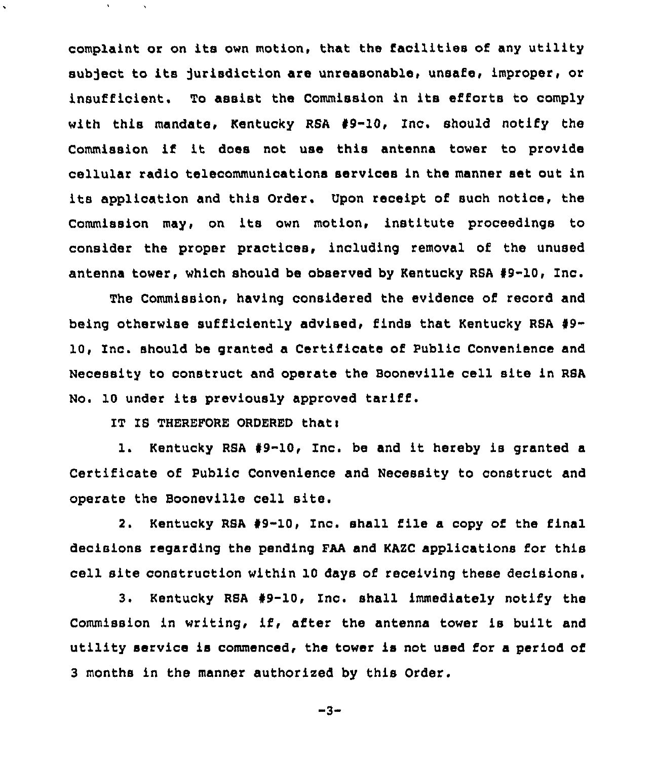complaint or on its own motion, that the facilities of any utility subject to its jurisdiction are unreasonable, unsafe, improper, or insufficient. To assist the Commission in its efforts to comply with this mandate, Kentucky RSA 49-10, Inc. should notify the Commission if it does not use this antenna tower to provide cellular radio telecommunications services in the manner set out in its application and this Order. Upon receipt of such notice, the Commission may, on its own motion, institute proceedings to consider the proper practices, including removal of the unused antenna tower, which should be observed by Kentucky RBA 49-10, Inc.

The Commission, having considered the evidence of record and being otherwise sufficiently advised, finds that Kentucky RSA 49- 10, Inc. should be granted a Certificate of Public Convenience and Necessity to construct and operate the Booneville cell site in RBA No. 10 under its previously approved tariff.

IT IS THEREFORE ORDERED that:

 $\mathbf{v}$ 

1. Kentucky RBA 49-10, Inc. be and it hereby is granted <sup>a</sup> Certificate of Public Convenience and Necessity to construct and operate the Booneville cell site.

2. Kentucky RSA #9-10, Inc. shall file a copy of the final decisions regarding the pending FAA and KAZC applications for this cell site construction within 10 days of receiving these decisions.

3. Kentucky RSA 99-10, Inc. shall immediately notify the Commission in writing, if, after the antenna tower is built and utility service is commenced, the tower is not used for a period of 3 months in the manner authorized by this Order.

-3-